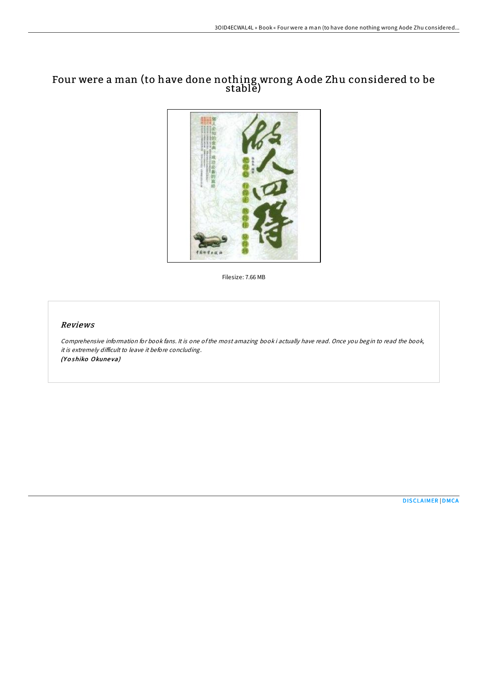## Four were a man (to have done nothing wrong A ode Zhu considered to be stable)



Filesize: 7.66 MB

## Reviews

Comprehensive information for book fans. It is one ofthe most amazing book i actually have read. Once you begin to read the book, it is extremely difficult to leave it before concluding. (Yoshiko Okuneva)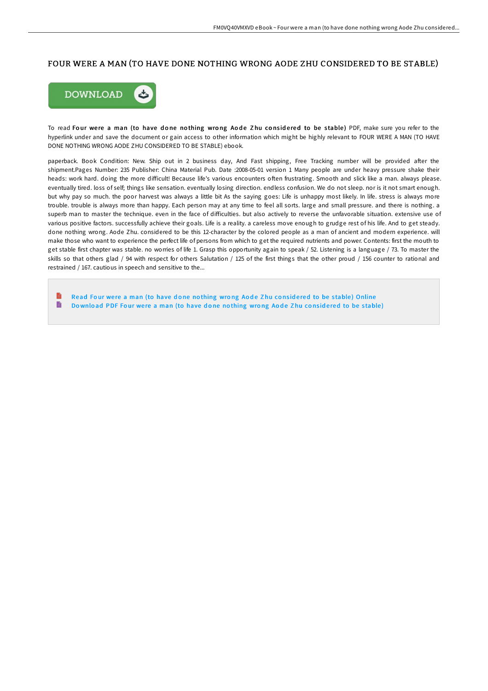## FOUR WERE A MAN (TO HAVE DONE NOTHING WRONG AODE ZHU CONSIDERED TO BE STABLE)



To read Four were a man (to have done nothing wrong Aode Zhu considered to be stable) PDF, make sure you refer to the hyperlink under and save the document or gain access to other information which might be highly relevant to FOUR WERE A MAN (TO HAVE DONE NOTHING WRONG AODE ZHU CONSIDERED TO BE STABLE) ebook.

paperback. Book Condition: New. Ship out in 2 business day, And Fast shipping, Free Tracking number will be provided after the shipment.Pages Number: 235 Publisher: China Material Pub. Date :2008-05-01 version 1 Many people are under heavy pressure shake their heads: work hard. doing the more difficult! Because life's various encounters often frustrating. Smooth and slick like a man. always please. eventually tired. loss of self; things like sensation. eventually losing direction. endless confusion. We do not sleep. nor is it not smart enough. but why pay so much. the poor harvest was always a little bit As the saying goes: Life is unhappy most likely. In life. stress is always more trouble. trouble is always more than happy. Each person may at any time to feel all sorts. large and small pressure. and there is nothing. a superb man to master the technique. even in the face of diFiculties. but also actively to reverse the unfavorable situation. extensive use of various positive factors. successfully achieve their goals. Life is a reality. a careless move enough to grudge rest of his life. And to get steady. done nothing wrong. Aode Zhu. considered to be this 12-character by the colored people as a man of ancient and modern experience. will make those who want to experience the perfect life of persons from which to get the required nutrients and power. Contents: first the mouth to get stable first chapter was stable. no worries of life 1. Grasp this opportunity again to speak / 52. Listening is a language / 73. To master the skills so that others glad / 94 with respect for others Salutation / 125 of the first things that the other proud / 156 counter to rational and restrained / 167. cautious in speech and sensitive to the...

Read Four were a man (to have done nothing wrong Aode Zhu considered to be stable) [Online](http://almighty24.tech/four-were-a-man-to-have-done-nothing-wrong-aode-.html) B Download PDF Four were a man (to have done no[thing](http://almighty24.tech/four-were-a-man-to-have-done-nothing-wrong-aode-.html) wrong Aode Zhu considered to be stable)